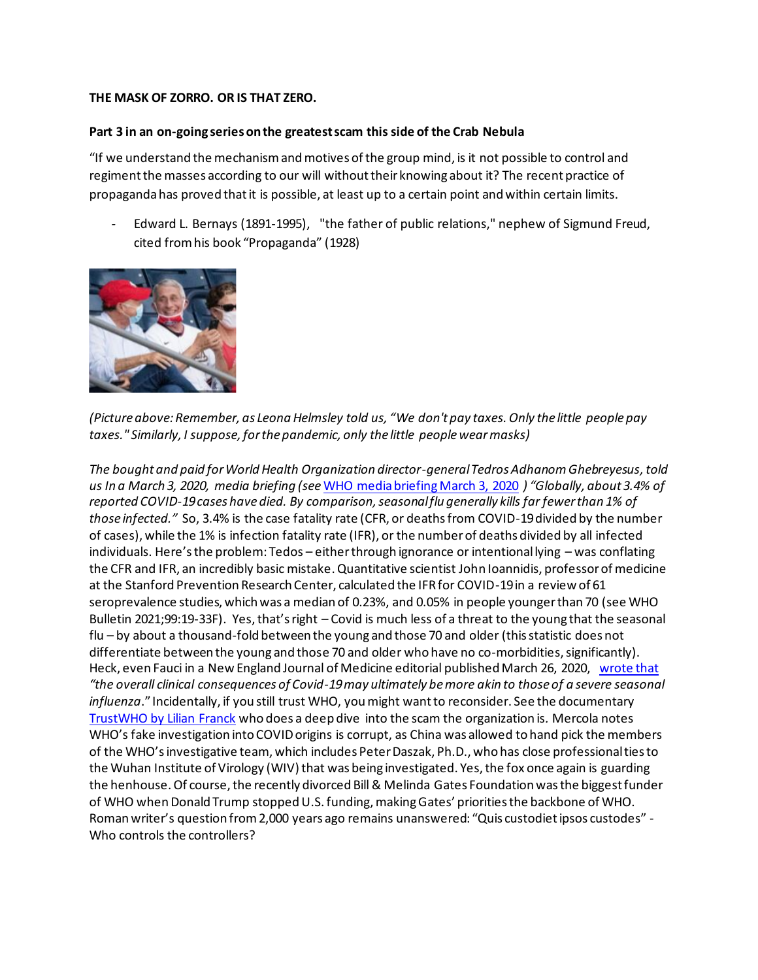## **THE MASK OF ZORRO. OR IS THAT ZERO.**

## **Part 3 in an on-going series on the greatest scam this side of the Crab Nebula**

"If we understand the mechanism and motives of the group mind, is it not possible to control and regiment the masses according to our will without their knowing about it? The recent practice of propaganda has proved that it is possible, at least up to a certain point and within certain limits.

*-* [Edward L. Bernays](https://www.quotes.net/authors/Edward+L.+Bernays) (1891-1995), "the father of public relations," nephew of Sigmund Freud, cited from his book "Propaganda" (1928)



*(Picture above: Remember, as Leona Helmsley told us, "We don't pay taxes. Only the little people pay taxes." Similarly, I suppose, for the pandemic, only the little people wear masks)*

*The bought and paid for World Health Organization director-general Tedros Adhanom Ghebreyesus, told us In a March 3, 2020, media briefing (see* [WHO media briefing March 3, 2020](https://www.who.int/director-general/speeches/detail/who-director-general-s-opening-remarks-at-the-media-briefing-on-covid-19---3-march-2020) *) "Globally, about 3.4% of reported COVID-19 cases have died. By comparison, seasonal flu generally kills far fewer than 1% of those infected."* So, 3.4% is the case fatality rate (CFR, or deaths from COVID-19 divided by the number of cases), while the 1% is infection fatality rate (IFR), or the number of deaths divided by all infected individuals. Here's the problem: Tedos – either through ignorance or intentional lying – was conflating the CFR and IFR, an incredibly basic mistake. Quantitative scientist John Ioannidis, professor of medicine at the Stanford Prevention Research Center, calculated the IFR for COVID-19 in a review of 61 seroprevalence studies, which was a median of 0.23%, and 0.05% in people younger than 70 (see WHO Bulletin 2021;99:19-33F). Yes, that's right – Covid is much less of a threat to the young that the seasonal flu – by about a thousand-fold between the young and those 70 and older (this statistic does not differentiate between the young and those 70 and older who have no co-morbidities, significantly). Heck, even Fauci in a New England Journal of Medicine editorial published March 26, 2020, [wrote that](file:///C:/Users/jvann/Desktop/Coronavirus%20Riots%20&%20Election%20misc/Coronvirus%20-%20my%20writings/N%20Engl%20J%20Med%202020;%20382:1268-1269) *"the overall clinical consequences of Covid-19 may ultimately be more akin to those of a severe seasonal influenza*." Incidentally, if you still trust WHO, you might want to reconsider. See the documentary [TrustWHO by Lilian Franck](https://www.journeyman.tv/film/7246/trustwho) who does a deep dive into the scam the organization is*.* Mercola notes WHO's fake investigation into COVID origins is corrupt, as China was allowed to hand pick the members of the WHO's investigative team, which includes Peter Daszak, Ph.D., who has close professional ties to the Wuhan Institute of Virology (WIV) that was being investigated. Yes, the fox once again is guarding the henhouse. Of course, the recently divorced Bill & Melinda Gates Foundation was the biggest funder of WHO when Donald Trump stopped U.S. funding, making Gates' priorities the backbone of WHO. Roman writer's question from 2,000 years ago remains unanswered: "Quis custodiet ipsos custodes" - Who controls the controllers?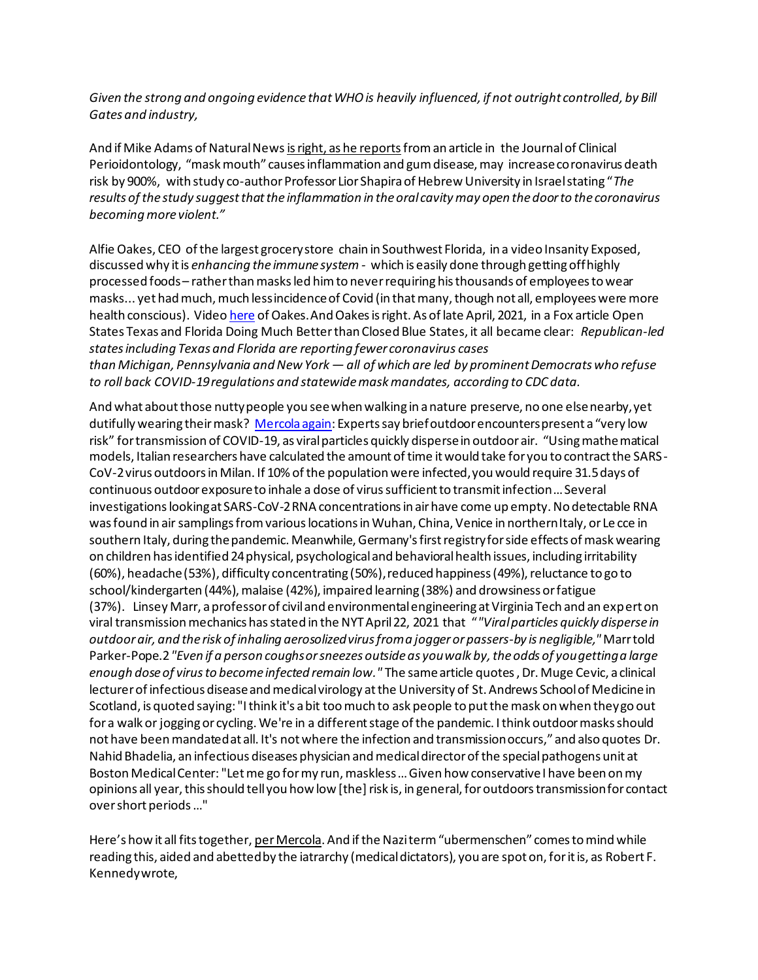*Given the strong and ongoing evidence that WHO is heavily influenced, if not outright controlled, by Bill Gates and industry,*

And if Mike Adams of Natural New[s is right, as he reports](https://www.naturalnews.com/2021-03-07-mask-mouth-gum-disease-coronavirus-death-risk.html)from an article in the Journal of Clinical Perioidontology, "mask mouth" causes inflammation and gum disease, may increase coronavirus death risk by 900%, with study co-author Professor Lior Shapira of Hebrew University in Israel stating "*The results of the study suggest that the inflammation in the oral cavity may open the door to the coronavirus becoming more violent."*

Alfie Oakes, CEO of the largest grocery store chain in Southwest Florida, in a video Insanity Exposed, discussed why it is *enhancing the immune system -* which is easily done through getting off highly processed foods – rather than masks led him to never requiring his thousands of employees to wear masks... yet had much, much less incidence of Covid (in that many, though not all, employees were more health conscious). Vide[o here](https://www.brighteon.com/22ad9a03-724e-43e4-b3e8-100db24f42fd) of Oakes. And Oakes is right. As of late April, 2021, in a Fox article Open States Texas and Florida Doing Much Better than Closed Blue States, it all became clear: *Republican-led states including Texas and Florida are reporting fewer coronavirus cases than Michigan, Pennsylvania and New York — all of which are led by prominent Democrats who refuse to roll back COVID-19 regulations and statewide mask mandates, according to CDC data.*

And what about those nutty people you see when walking in a nature preserve, no one else nearby, yet dutifully wearing their mask? [Mercola again](https://articles.mercola.com/sites/articles/archive/2021/05/07/outdoor-face-mask.aspx?ui=85e25c30771774a6eb5c52638ffecb6adfd58e053c28cca2f6014cb86ed0e8df&sd=20190328&cid_source=dnl&cid_medium=email&cid_content=art1HL&cid=20210507&mid=DM878288&rid=1151636547): Experts say brief outdoor encounters present a "very low risk" for transmission of COVID-19, as viral particles quickly disperse in outdoor air. "Using mathematical models, Italian researchers have calculated the amount of time it would take for you to contract the SARS-CoV-2 virus outdoors in Milan. If 10% of the population were infected, you would require 31.5 days of continuous outdoor exposure to inhale a dose of virus sufficient to transmit infection … Several investigations looking at SARS-CoV-2 RNA concentrations in air have come up empty. No detectable RNA was found in air samplings from various locations in Wuhan, China, Venice in northern Italy, or Le cce in southern Italy, during the pandemic. Meanwhile, Germany's first registry for side effects of mask wearing on children has identified 24 physical, psychological and behavioral health issues, including irritability (60%), headache (53%), difficulty concentrating (50%), reduced happiness (49%), reluctance to go to school/kindergarten (44%), malaise (42%), impaired learning (38%) and drowsiness or fatigue (37%). Linsey Marr, a professor of civil and environmental engineering at Virginia Tech and an expert on viral transmission mechanics has stated in the NYT April 22, 2021 that "*"Viral particles quickly disperse in outdoor air, and the risk of inhaling aerosolized virus from a jogger or passers-by is negligible,"* Marr told Parker-Pope.2*"Even if a person coughs or sneezes outside as you walk by, the odds of you getting a large enough dose of virus to become infected remain low."* The same article quotes , Dr. Muge Cevic, a clinical lecturer of infectious disease and medical virology at the University of St. Andrews School of Medicine in Scotland, is quoted saying: "I think it's a bit too much to ask people to put the mask on when they go out for a walk or jogging or cycling. We're in a different stage of the pandemic. I think outdoor masks should not have been mandated at all. It's not where the infection and transmission occurs," and also quotes Dr. Nahid Bhadelia, an infectious diseases physician and medical director of the special pathogens unit at Boston Medical Center: "Let me go for my run, maskless … Given how conservative I have been on my opinions all year, this should tell you how low [the] risk is, in general, for outdoors transmission for contact over short periods …"

Here's how it all fits together, [per Mercola](https://articles.mercola.com/sites/articles/archive/2021/04/14/fearmongering-goes-nuclear-brand-new-pandemic.aspx?ui=85e25c30771774a6eb5c52638ffecb6adfd58e053c28cca2f6014cb86ed0e8df&sd=20190328&cid_source=dnl&cid_medium=email&cid_content=art1HL&cid=20210414&mid=DM857590&rid=1132564114). And if the Nazi term "ubermenschen" comes to mind while reading this, aided and abetted by the iatrarchy (medical dictators), you are spot on, for it is, as Robert F. Kennedy wrote,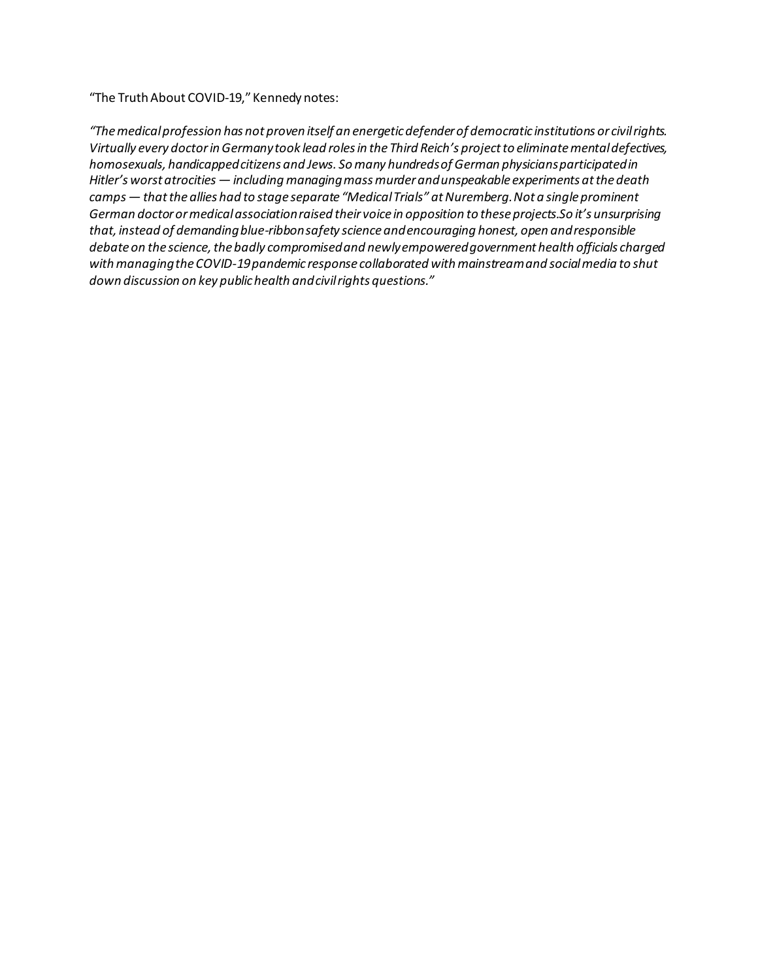"The Truth About COVID-19," Kennedy notes:

*"The medical profession has not proven itself an energetic defender of democratic institutions or civil rights. Virtually every doctor in Germany took lead roles in the Third Reich's project to eliminate mental defectives, homosexuals, handicapped citizens and Jews. So many hundreds of German physicians participated in Hitler's worst atrocities — including managing mass murder and unspeakable experiments at the death camps — that the allies had to stage separate "Medical Trials" at Nuremberg. Not a single prominent German doctor or medical association raised their voice in opposition to these projects.So it's unsurprising that, instead of demanding blue-ribbon safety science and encouraging honest, open and responsible debate on the science, the badly compromised and newly empowered government health officials charged with managing the COVID-19 pandemic response collaborated with mainstream and social media to shut down discussion on key public health and civil rights questions."*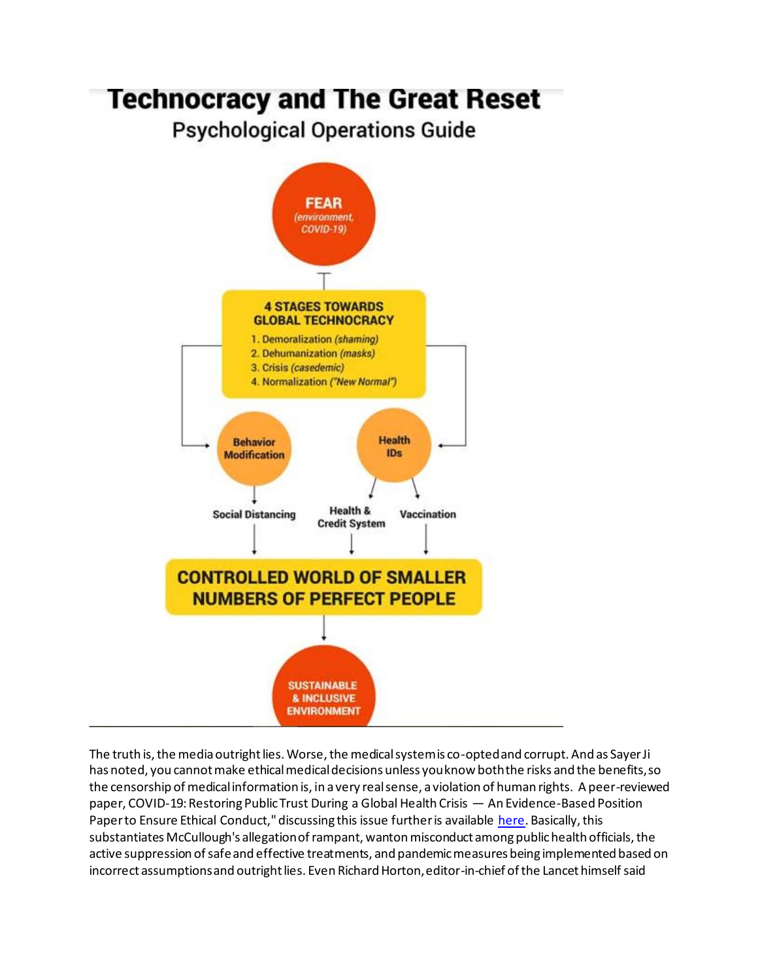## **Technocracy and The Great Reset**

**Psychological Operations Guide** 



The truth is, the media outright lies. Worse, the medical system is co-opted and corrupt. And as Sayer Ji has noted, you cannot make ethical medical decisions unless you know both the risks and the benefits, so the censorship of medical information is, in a very real sense, a violation of human rights. A peer-reviewed paper, COVID-19: Restoring Public Trust During a Global Health Crisis — An Evidence-Based Position Paper to Ensure Ethical Conduct," discussing this issue further is availabl[e here](https://cdn.greenmedinfo.com/sites/default/files/cdn/Position_Paper_v24_FINAL.pdf). Basically, this substantiates McCullough's allegation of rampant, wanton misconduct among public health officials, the active suppression of safe and effective treatments, and pandemic measures being implemented based on incorrect assumptions and outright lies. Even Richard Horton, editor-in-chief of the Lancet himsel[f said](https://www.thelancet.com/journals/lancet/article/PIIS0140-6736(15)60696-1/fulltext)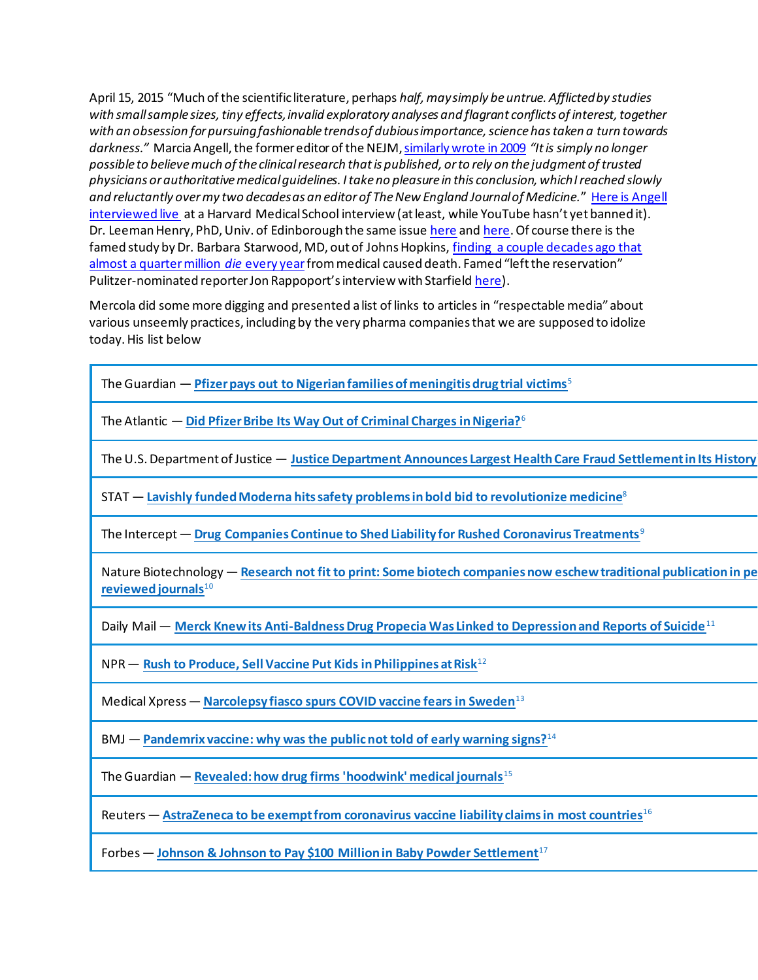April 15, 2015 "Much of the scientific literature, perhaps *half, may simply be untrue. Afflicted by studies with small sample sizes, tiny effects, invalid exploratory analyses and flagrant conflicts of interest, together with an obsession for pursuing fashionable trends of dubious importance, science has taken a turn towards darkness."* Marcia Angell, the former editor of the NEJM[, similarly wrote in 2009](https://www.ncbi.nlm.nih.gov/pmc/articles/PMC2964337/) *"It is simply no longer possible to believe much of the clinical research that is published, or to rely on the judgment of trusted physicians or authoritative medical guidelines. I take no pleasure in this conclusion, which I reached slowly and reluctantly over my two decades as an editor of The New England Journal of Medicine.*" [Here is Angell](https://youtu.be/q8FeLQVI5Lw?t=74)  [interviewed live](https://youtu.be/q8FeLQVI5Lw?t=74) at a Harvard Medical School interview (at least, while YouTube hasn't yet banned it). Dr. Leeman Henry, PhD, Univ. of Edinborough the same issu[e here](https://www.youtube.com/watch?v=0rem6zmyNZA) an[d here](https://youtu.be/UAEAWyfuEWY?t=52). Of course there is the famed study by Dr. Barbara Starwood, MD, out of Johns Hopkins[, finding a couple decades ago that](https://iatrogenics.org/responsibility/72-societalimpact/280-medical-errors-still-the-third-leading-cause-of-death)  [almost a quarter million](https://iatrogenics.org/responsibility/72-societalimpact/280-medical-errors-still-the-third-leading-cause-of-death) *die* every yearfrom medical caused death. Famed "left the reservation" Pulitzer-nominated reporter Jon Rappoport's interview with Starfield [here](https://newswithviews.com/Rappoport/jon100.htm)).

Mercola did some more digging and presented a list of links to articles in "respectable media" about various unseemly practices, including by the very pharma companies that we are supposed to idolize today. His list below

| The Guardian - Pfizer pays out to Nigerian families of meningitis drug trial victims <sup>5</sup>                                                    |
|------------------------------------------------------------------------------------------------------------------------------------------------------|
| The Atlantic $-$ Did Pfizer Bribe Its Way Out of Criminal Charges in Nigeria? $6$                                                                    |
| The U.S. Department of Justice - Justice Department Announces Largest Health Care Fraud Settlement in Its History                                    |
| $STAT$ – Lavishly funded Moderna hits safety problems in bold bid to revolutionize medicine <sup>8</sup>                                             |
| The Intercept — Drug Companies Continue to Shed Liability for Rushed Coronavirus Treatments <sup>9</sup>                                             |
| Nature Biotechnology — Research not fit to print: Some biotech companies now eschew traditional publication in pe<br>reviewed journals <sup>10</sup> |
| Daily Mail — Merck Knew its Anti-Baldness Drug Propecia Was Linked to Depression and Reports of Suicide <sup>11</sup>                                |
| $NPR$ – Rush to Produce, Sell Vaccine Put Kids in Philippines at Risk <sup>12</sup>                                                                  |
| Medical Xpress - Narcolepsy fiasco spurs COVID vaccine fears in Sweden <sup>13</sup>                                                                 |
| BMJ — Pandemrix vaccine: why was the public not told of early warning signs? <sup>14</sup>                                                           |
| The Guardian $-$ Revealed: how drug firms 'hoodwink' medical journals <sup>15</sup>                                                                  |
| Reuters - AstraZeneca to be exempt from coronavirus vaccine liability claims in most countries <sup>16</sup>                                         |
| Forbes - Johnson & Johnson to Pay \$100 Million in Baby Powder Settlement <sup>17</sup>                                                              |
|                                                                                                                                                      |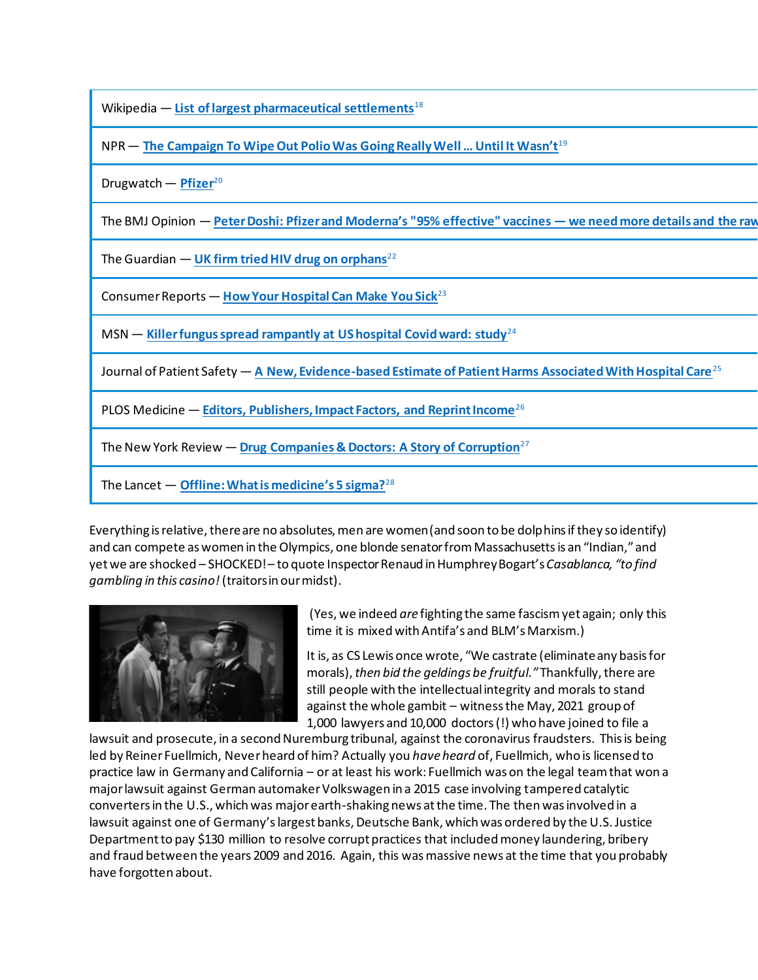| Wikipedia $-$ List of largest pharmaceutical settlements <sup>18</sup>                                                  |
|-------------------------------------------------------------------------------------------------------------------------|
| NPR - The Campaign To Wipe Out Polio Was Going Really Well  Until It Wasn't <sup>19</sup>                               |
| Drugwatch - Pfizer <sup>20</sup>                                                                                        |
| The BMJ Opinion — Peter Doshi: Pfizer and Moderna's "95% effective" vaccines — we need more details and the raw         |
| The Guardian $-$ UK firm tried HIV drug on orphans <sup>22</sup>                                                        |
| Consumer Reports - How Your Hospital Can Make You Sick <sup>23</sup>                                                    |
| MSN $-$ Killer fungus spread rampantly at US hospital Covid ward: study <sup>24</sup>                                   |
| Journal of Patient Safety - A New, Evidence-based Estimate of Patient Harms Associated With Hospital Care <sup>25</sup> |
| PLOS Medicine - Editors, Publishers, Impact Factors, and Reprint Income <sup>26</sup>                                   |
| The New York Review — Drug Companies & Doctors: A Story of Corruption <sup>27</sup>                                     |
| The Lancet $-$ Offline: What is medicine's 5 sigma? <sup>28</sup>                                                       |
|                                                                                                                         |

Everything is relative, there are no absolutes, men are women (and soon to be dolphins if they so identify) and can compete as women in the Olympics, one blonde senator from Massachusetts is an "Indian," and yet we are shocked – SHOCKED! – to quote Inspector Renaud in Humphrey Bogart's *Casablanca, "to find gambling in this casino!* (traitors in our midst).



(Yes, we indeed *are* fighting the same fascism yet again; only this time it is mixed with Antifa's and BLM's Marxism.)

It is, as CS Lewis once wrote, "We castrate (eliminate any basis for morals), *then bid the geldings be fruitful."* Thankfully, there are still people with the intellectual integrity and morals to stand against the whole gambit – witness the May, 2021 group of 1,000 lawyers and 10,000 doctors (!) who have joine[d to file a](https://www.thegatewaypundit.com/2021/05/1000-lawyers-10000-doctors-join-together-file-lawsuit-prosecute-2nd-nuremburg-tribunal-corona-fraud-scandal/) 

[lawsuit and prosecute, in a second Nuremburg tribunal,](https://www.thegatewaypundit.com/2021/05/1000-lawyers-10000-doctors-join-together-file-lawsuit-prosecute-2nd-nuremburg-tribunal-corona-fraud-scandal/) against the coronavirus fraudsters. This is being led by Reiner Fuellmich, Never heard of him? Actually you *have heard* of, Fuellmich, who is licensed to practice law in Germany and California – or at least his work: Fuellmich was on the legal team that won a major lawsuit against German automaker Volkswagen in a 2015 case involving tampered catalytic converters in the U.S., which was major earth-shaking news at the time. The then was involved in a lawsuit against one of Germany's largest banks, Deutsche Bank, which was ordered by the U.S. Justice Department to [pay \\$130 million](https://www.justice.gov/opa/pr/deutsche-bank-agrees-pay-over-130-million-resolve-foreign-corrupt-practices-act-and-fraud) to resolve corrupt practices that included money laundering, bribery and fraud between the years 2009 and 2016. Again, this was massive news at the time that you probably have forgotten about.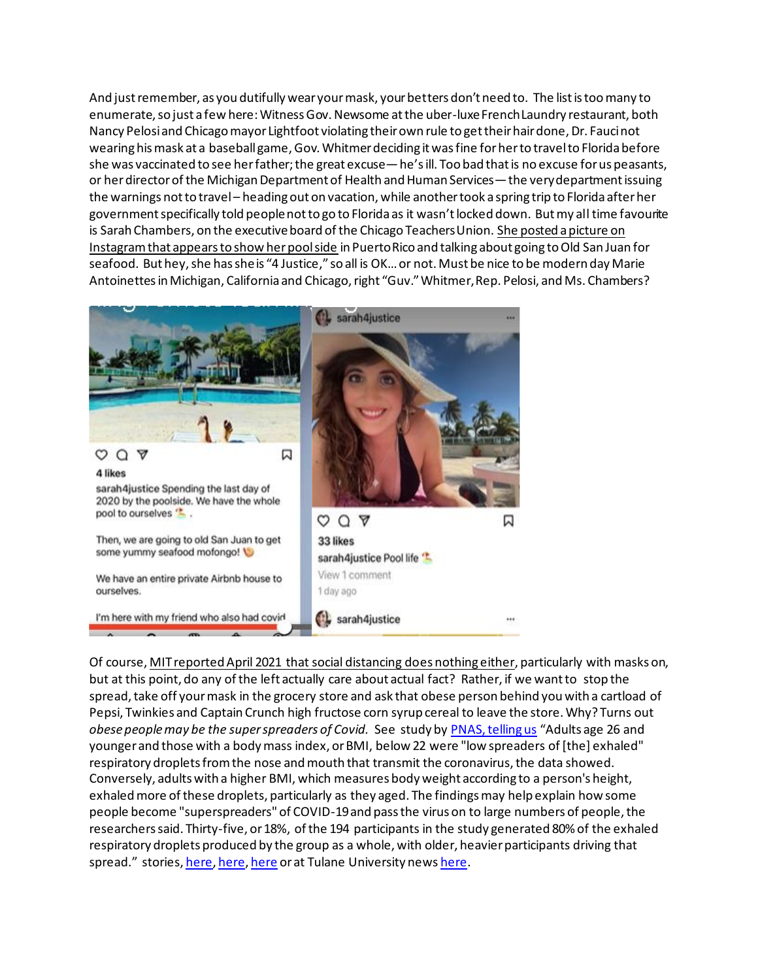And just remember, as you dutifully wear your mask, your betters don't need to. The list is too many to enumerate, so just a few here: Witness Gov. Newsome at the uber-luxe French Laundry restaurant, both Nancy Pelosi and Chicago mayor Lightfoot violating their own rule to get their hair done, Dr. Fauci not wearing his mask at a baseball game, Gov. Whitmer deciding it was fine for her to travel to Florida before she was vaccinated to see her father; the great excuse—he's ill. Too bad that is no excuse for us peasants, or her director of the Michigan Department of Health and Human Services—the very department issuing the warnings not to travel – heading out on vacation, while another took a spring trip to Florida after her government specifically told people not to go to Florida as it wasn't locked down. But my all time favourite is Sarah Chambers, on the executive board of the Chicago Teachers Union. [She posted a picture on](https://wgntv.com/news/wgn-investigates/ctu-board-member-facing-criticism-for-vacationing-in-caribbean-while-pushing-remote-learning/)  [Instagram that appears to show her pool side](https://wgntv.com/news/wgn-investigates/ctu-board-member-facing-criticism-for-vacationing-in-caribbean-while-pushing-remote-learning/) in Puerto Rico and talking about going to Old San Juan for seafood. But hey, she has she is "4 Justice," so all is OK… or not. Must be nice to be modern day Marie Antoinettes in Michigan, California and Chicago, right "Guv." Whitmer, Rep. Pelosi, and Ms. Chambers?



Of course[, MIT reported April 2021 that social distancing does nothing either,](https://www.newsmax.com/us/covid19-schools-restaurants-six-feet/2021/04/24/id/1018849/?ns_mail_uid=80c8d71e-b0c6-49e0-8d73-f34cb17ef83f&ns_mail_job=DM213278_04242021&s=acs&dkt_nbr=0101043crlfv) particularly with masks on, but at this point, do any of the left actually care about actual fact? Rather, if we want to stop the spread, take off your mask in the grocery store and ask that obese person behind you with a cartload of Pepsi, Twinkies and Captain Crunch high fructose corn syrup cereal to leave the store. Why? Turns out *obese people may be the super spreaders of Covid.* See study b[y PNAS, telling us](https://www.upi.com/Health_News/2021/02/09/Older-heavier-adults-possible-superspreaders-of-COVID-19-study-finds/5651612898262/) "Adults age 26 and younger and those with a body mass index, or BMI, below 22 were "low spreaders of [the] exhaled" respiratory droplets from the nose and mouth that transmit the coronavirus, the data showed. Conversely, adults with a higher BMI, which measures body weight according to a person's height, exhaled more of these droplets, particularly as they aged. The findings may help explain how some people become "superspreaders" of COVID-19 and pass the virus on to large numbers of people, the researchers said. Thirty-five, or 18%, of the 194 participants in the study generated 80% of the exhaled respiratory droplets produced by the group as a whole, with older, heavier participants driving that spread." stories, [here,](https://www.thehealthsite.com/news/obesity-can-raise-your-risk-of-becoming-a-covid-19-super-spreader-heres-how-795571/) [here](https://citizenfreepress.com/breaking/obese-are-the-real-covid-super-spreaders-they-produce-1000x-times-the-infected-air-particles-as-normal-people/)[, here](https://www.upi.com/Health_News/2021/02/09/Older-heavier-adults-possible-superspreaders-of-COVID-19-study-finds/5651612898262/) or at Tulane University new[s here](https://news.tulane.edu/pr/researchers-unravel-what-makes-someone-covid-19-super-spreader).